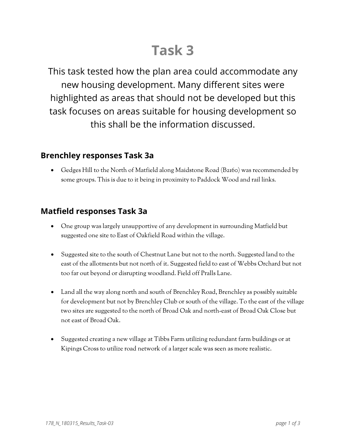# **Task 3**

This task tested how the plan area could accommodate any new housing development. Many different sites were highlighted as areas that should not be developed but this task focuses on areas suitable for housing development so this shall be the information discussed.

# **Brenchley responses Task 3a**

• Gedges Hill to the North of Matfield along Maidstone Road (B2160) was recommended by some groups. This is due to it being in proximity to Paddock Wood and rail links.

### **Matfield responses Task 3a**

- One group was largely unsupportive of any development in surrounding Matfield but suggested one site to East of Oakfield Road within the village.
- Suggested site to the south of Chestnut Lane but not to the north. Suggested land to the east of the allotments but not north of it. Suggested field to east of Webbs Orchard but not too far out beyond or disrupting woodland. Field off Pralls Lane.
- Land all the way along north and south of Brenchley Road, Brenchley as possibly suitable for development but not by Brenchley Club or south of the village. To the east of the village two sites are suggested to the north of Broad Oak and north-east of Broad Oak Close but not east of Broad Oak.
- Suggested creating a new village at Tibbs Farm utilizing redundant farm buildings or at Kipings Cross to utilize road network of a larger scale was seen as more realistic.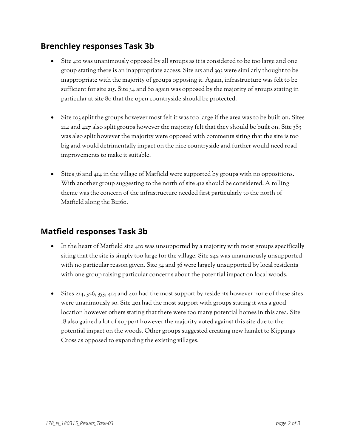# **Brenchley responses Task 3b**

- Site 410 was unanimously opposed by all groups as it is considered to be too large and one group stating there is an inappropriate access. Site 215 and 393 were similarly thought to be inappropriate with the majority of groups opposing it. Again, infrastructure was felt to be sufficient for site 215. Site 34 and 80 again was opposed by the majority of groups stating in particular at site 80 that the open countryside should be protected.
- Site 103 split the groups however most felt it was too large if the area was to be built on. Sites 214 and 427 also split groups however the majority felt that they should be built on. Site  $333$ was also split however the majority were opposed with comments siting that the site is too big and would detrimentally impact on the nice countryside and further would need road improvements to make it suitable.
- Sites 36 and 414 in the village of Matfield were supported by groups with no oppositions. With another group suggesting to the north of site 412 should be considered. A rolling theme was the concern of the infrastructure needed first particularly to the north of Matfield along the B2160.

# **Matfield responses Task 3b**

- In the heart of Matfield site 410 was unsupported by a majority with most groups specifically siting that the site is simply too large for the village. Site 242 was unanimously unsupported with no particular reason given. Site 34 and 36 were largely unsupported by local residents with one group raising particular concerns about the potential impact on local woods.
- Sites 214, 326, 353, 414 and 401 had the most support by residents however none of these sites were unanimously so. Site 401 had the most support with groups stating it was a good location however others stating that there were too many potential homes in this area. Site 18 also gained a lot of support however the majority voted against this site due to the potential impact on the woods. Other groups suggested creating new hamlet to Kippings Cross as opposed to expanding the existing villages.